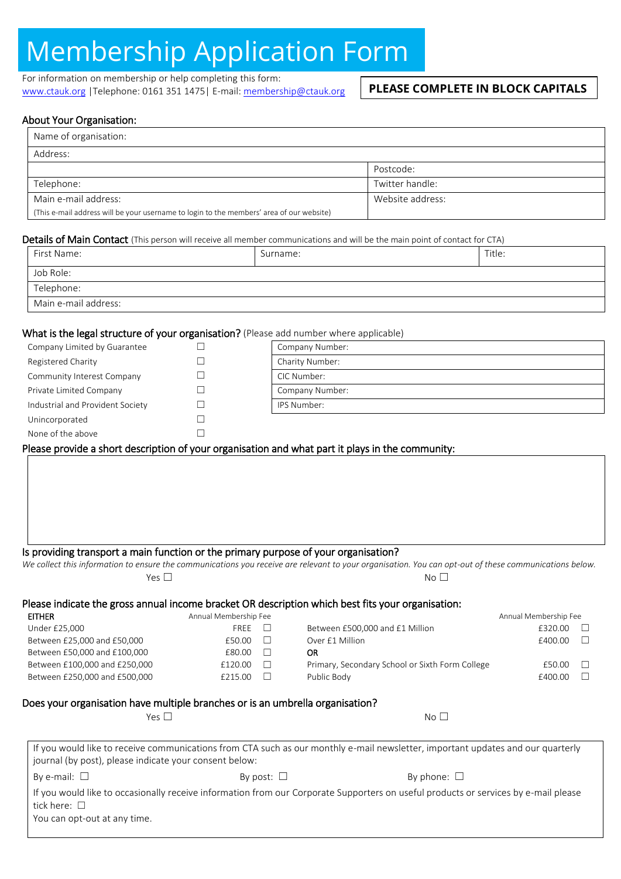# Membership Application Form

For information on membership or help completing this form: [www.ctauk.org](http://www.ctauk.org/) |Telephone: 0161 351 1475| E-mail[: membership@ctauk.org](mailto:membership@ctauk.org)

## **PLEASE COMPLETE IN BLOCK CAPITALS**

## About Your Organisation:

| Name of organisation:                                                                    |                  |  |
|------------------------------------------------------------------------------------------|------------------|--|
| Address:                                                                                 |                  |  |
|                                                                                          | Postcode:        |  |
| Telephone:                                                                               | Twitter handle:  |  |
| Main e-mail address:                                                                     | Website address: |  |
| (This e-mail address will be your username to login to the members' area of our website) |                  |  |

#### Details of Main Contact (This person will receive all member communications and will be the main point of contact for CTA)

| First Name:          | Surname: | Title: |  |
|----------------------|----------|--------|--|
| Job Role:            |          |        |  |
| Telephone:           |          |        |  |
| Main e-mail address: |          |        |  |

#### What is the legal structure of your organisation? (Please add number where applicable)

| Company Limited by Guarantee     | Company Number: |
|----------------------------------|-----------------|
| Registered Charity               | Charity Number: |
| Community Interest Company       | CIC Number:     |
| Private Limited Company          | Company Number: |
| Industrial and Provident Society | IPS Number:     |
| Unincorporated                   |                 |
| None of the above                |                 |

## Please provide a short description of your organisation and what part it plays in the community:

Is providing transport a main function or the primary purpose of your organisation?

|                  | We collect this information to ensure the communications you receive are relevant to your organisation. You can opt-out of these communications below. |
|------------------|--------------------------------------------------------------------------------------------------------------------------------------------------------|
| $V_{\text{PS}+}$ | No L                                                                                                                                                   |

Between £250,000 and £500,000  $\Box$  Public Body  $\Box$  Public Body  $\Box$  Public Body  $\Box$ 

#### Please indicate the gross annual income bracket OR description which best fits your organisation: EITHER Annual Membership Fee Annual Membership Fee Under £25,000 **FREE** □ Between £500,000 and £1 Million **£320.00** □ Between £25,000 and £50,000  $\Box$  Over £1 Million  $f$ 400.00  $\Box$ Between £50,000 and £100,000 **E80.00 DR** Between £100,000 and £250,000 **£120.00** E120.00 □ Primary, Secondary School or Sixth Form College £50.00 □

## Does your organisation have multiple branches or is an umbrella organisation?

| Yes $\mathsf{L}$ | -<br>No. |
|------------------|----------|
|------------------|----------|

|                                                        |                 | If you would like to receive communications from CTA such as our monthly e-mail newsletter, important updates and our quarterly     |  |
|--------------------------------------------------------|-----------------|-------------------------------------------------------------------------------------------------------------------------------------|--|
| journal (by post), please indicate your consent below: |                 |                                                                                                                                     |  |
| By e-mail: $\Box$                                      | By post: $\Box$ | By phone: $\Box$                                                                                                                    |  |
|                                                        |                 | If you would like to occasionally receive information from our Corporate Supporters on useful products or services by e-mail please |  |
| tick here: $\Box$                                      |                 |                                                                                                                                     |  |
| You can opt-out at any time.                           |                 |                                                                                                                                     |  |